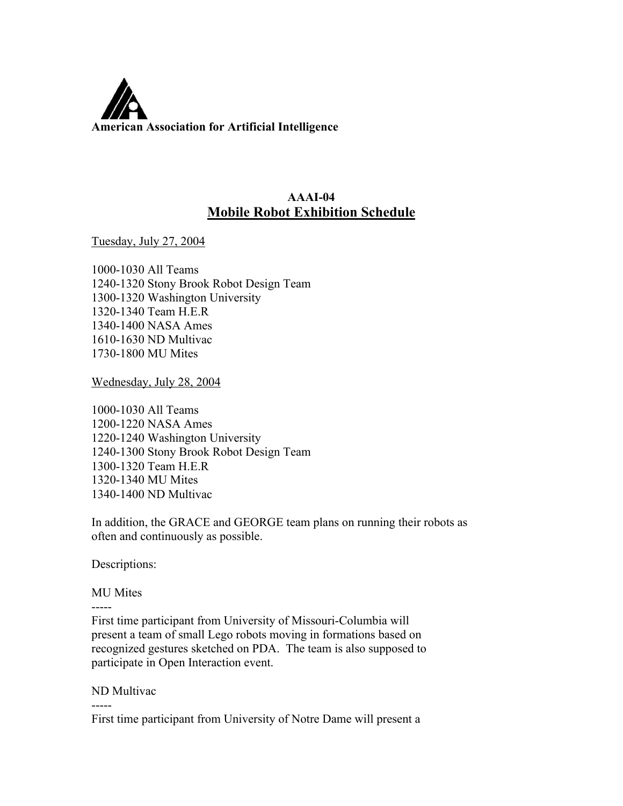

## **AAAI-04 Mobile Robot Exhibition Schedule**

Tuesday, July 27, 2004

1000-1030 All Teams 1240-1320 Stony Brook Robot Design Team 1300-1320 Washington University 1320-1340 Team H.E.R 1340-1400 NASA Ames 1610-1630 ND Multivac 1730-1800 MU Mites

Wednesday, July 28, 2004

1000-1030 All Teams 1200-1220 NASA Ames 1220-1240 Washington University 1240-1300 Stony Brook Robot Design Team 1300-1320 Team H.E.R 1320-1340 MU Mites 1340-1400 ND Multivac

In addition, the GRACE and GEORGE team plans on running their robots as often and continuously as possible.

Descriptions:

MU Mites

-----

First time participant from University of Missouri-Columbia will present a team of small Lego robots moving in formations based on recognized gestures sketched on PDA. The team is also supposed to participate in Open Interaction event.

ND Multivac

-----

First time participant from University of Notre Dame will present a